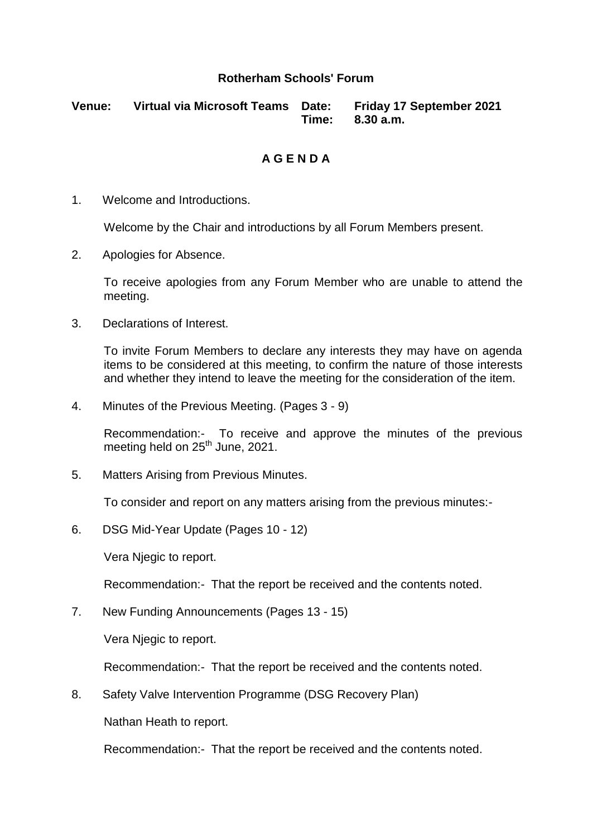#### **Rotherham Schools' Forum**

**Venue: Virtual via Microsoft Teams Date: Friday 17 September 2021 Time: 8.30 a.m.**

#### **A G E N D A**

1. Welcome and Introductions.

Welcome by the Chair and introductions by all Forum Members present.

2. Apologies for Absence.

To receive apologies from any Forum Member who are unable to attend the meeting.

3. Declarations of Interest.

To invite Forum Members to declare any interests they may have on agenda items to be considered at this meeting, to confirm the nature of those interests and whether they intend to leave the meeting for the consideration of the item.

4. Minutes of the Previous Meeting. (Pages 3 - 9)

Recommendation:- To receive and approve the minutes of the previous meeting held on 25<sup>th</sup> June, 2021.

5. Matters Arising from Previous Minutes.

To consider and report on any matters arising from the previous minutes:-

6. DSG Mid-Year Update (Pages 10 - 12)

Vera Njegic to report.

Recommendation:- That the report be received and the contents noted.

7. New Funding Announcements (Pages 13 - 15)

Vera Njegic to report.

Recommendation:- That the report be received and the contents noted.

8. Safety Valve Intervention Programme (DSG Recovery Plan)

Nathan Heath to report.

Recommendation:- That the report be received and the contents noted.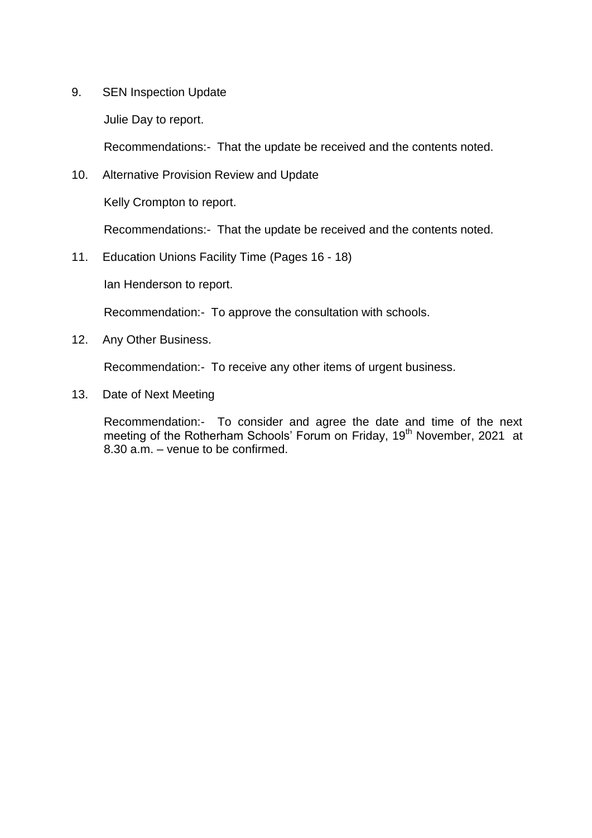9. SEN Inspection Update

Julie Day to report.

Recommendations:- That the update be received and the contents noted.

10. Alternative Provision Review and Update

Kelly Crompton to report.

Recommendations:- That the update be received and the contents noted.

11. Education Unions Facility Time (Pages 16 - 18)

Ian Henderson to report.

Recommendation:- To approve the consultation with schools.

12. Any Other Business.

Recommendation:- To receive any other items of urgent business.

13. Date of Next Meeting

Recommendation:- To consider and agree the date and time of the next meeting of the Rotherham Schools' Forum on Friday, 19<sup>th</sup> November, 2021 at 8.30 a.m. – venue to be confirmed.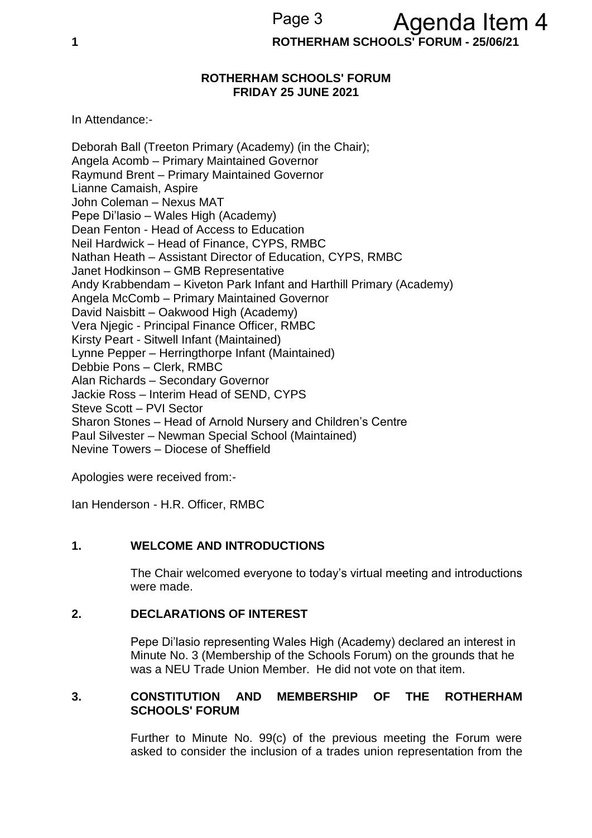**1 ROTHERHAM SCHOOLS' FORUM - 25/06/21**

#### **ROTHERHAM SCHOOLS' FORUM FRIDAY 25 JUNE 2021**

In Attendance:-

Deborah Ball (Treeton Primary (Academy) (in the Chair); Angela Acomb – Primary Maintained Governor Raymund Brent – Primary Maintained Governor Lianne Camaish, Aspire John Coleman – Nexus MAT Pepe Di'lasio – Wales High (Academy) Dean Fenton - Head of Access to Education Neil Hardwick – Head of Finance, CYPS, RMBC Nathan Heath – Assistant Director of Education, CYPS, RMBC Janet Hodkinson – GMB Representative Andy Krabbendam – Kiveton Park Infant and Harthill Primary (Academy) Angela McComb – Primary Maintained Governor David Naisbitt – Oakwood High (Academy) Vera Njegic - Principal Finance Officer, RMBC Kirsty Peart - Sitwell Infant (Maintained) Lynne Pepper – Herringthorpe Infant (Maintained) Debbie Pons – Clerk, RMBC Alan Richards – Secondary Governor Jackie Ross – Interim Head of SEND, CYPS Steve Scott – PVI Sector Sharon Stones – Head of Arnold Nursery and Children's Centre Paul Silvester – Newman Special School (Maintained) Nevine Towers – Diocese of Sheffield

Apologies were received from:-

Ian Henderson - H.R. Officer, RMBC

#### **1. WELCOME AND INTRODUCTIONS**

The Chair welcomed everyone to today's virtual meeting and introductions were made.

#### **2. DECLARATIONS OF INTEREST**

Pepe Di'lasio representing Wales High (Academy) declared an interest in Minute No. 3 (Membership of the Schools Forum) on the grounds that he was a NEU Trade Union Member. He did not vote on that item.

#### **3. CONSTITUTION AND MEMBERSHIP OF THE ROTHERHAM SCHOOLS' FORUM**

Further to Minute No. 99(c) of the previous meeting the Forum were asked to consider the inclusion of a trades union representation from the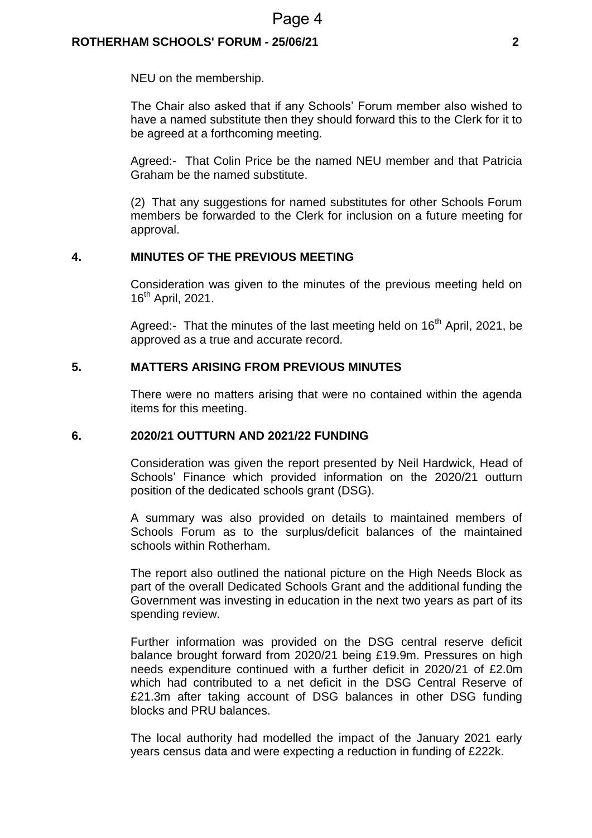#### **ROTHERHAM SCHOOLS' FORUM - 25/06/21 2**

NEU on the membership.

The Chair also asked that if any Schools' Forum member also wished to have a named substitute then they should forward this to the Clerk for it to be agreed at a forthcoming meeting.

Agreed:- That Colin Price be the named NEU member and that Patricia Graham be the named substitute.

(2) That any suggestions for named substitutes for other Schools Forum members be forwarded to the Clerk for inclusion on a future meeting for approval.

#### **4. MINUTES OF THE PREVIOUS MEETING**

Consideration was given to the minutes of the previous meeting held on 16<sup>th</sup> April, 2021.

Agreed:- That the minutes of the last meeting held on  $16<sup>th</sup>$  April, 2021, be approved as a true and accurate record.

#### **5. MATTERS ARISING FROM PREVIOUS MINUTES**

There were no matters arising that were no contained within the agenda items for this meeting.

#### **6. 2020/21 OUTTURN AND 2021/22 FUNDING**

Consideration was given the report presented by Neil Hardwick, Head of Schools' Finance which provided information on the 2020/21 outturn position of the dedicated schools grant (DSG).

A summary was also provided on details to maintained members of Schools Forum as to the surplus/deficit balances of the maintained schools within Rotherham.

The report also outlined the national picture on the High Needs Block as part of the overall Dedicated Schools Grant and the additional funding the Government was investing in education in the next two years as part of its spending review.

Further information was provided on the DSG central reserve deficit balance brought forward from 2020/21 being £19.9m. Pressures on high needs expenditure continued with a further deficit in 2020/21 of £2.0m which had contributed to a net deficit in the DSG Central Reserve of £21.3m after taking account of DSG balances in other DSG funding blocks and PRU balances.

The local authority had modelled the impact of the January 2021 early years census data and were expecting a reduction in funding of £222k.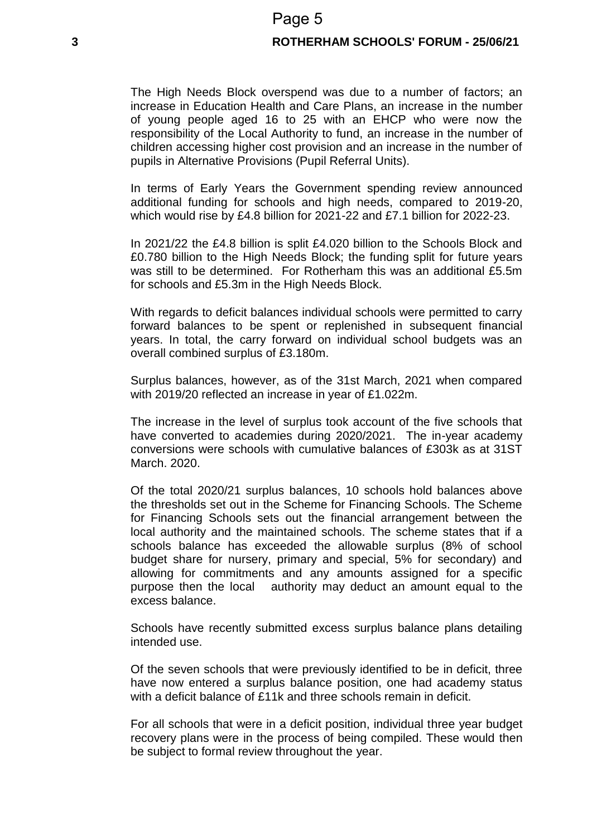#### **3 ROTHERHAM SCHOOLS' FORUM - 25/06/21**

The High Needs Block overspend was due to a number of factors; an increase in Education Health and Care Plans, an increase in the number of young people aged 16 to 25 with an EHCP who were now the responsibility of the Local Authority to fund, an increase in the number of children accessing higher cost provision and an increase in the number of pupils in Alternative Provisions (Pupil Referral Units).

In terms of Early Years the Government spending review announced additional funding for schools and high needs, compared to 2019-20, which would rise by £4.8 billion for 2021-22 and £7.1 billion for 2022-23.

In 2021/22 the £4.8 billion is split £4.020 billion to the Schools Block and £0.780 billion to the High Needs Block; the funding split for future years was still to be determined. For Rotherham this was an additional £5.5m for schools and £5.3m in the High Needs Block.

With regards to deficit balances individual schools were permitted to carry forward balances to be spent or replenished in subsequent financial years. In total, the carry forward on individual school budgets was an overall combined surplus of £3.180m.

Surplus balances, however, as of the 31st March, 2021 when compared with 2019/20 reflected an increase in year of £1.022m.

The increase in the level of surplus took account of the five schools that have converted to academies during 2020/2021. The in-year academy conversions were schools with cumulative balances of £303k as at 31ST March. 2020.

Of the total 2020/21 surplus balances, 10 schools hold balances above the thresholds set out in the Scheme for Financing Schools. The Scheme for Financing Schools sets out the financial arrangement between the local authority and the maintained schools. The scheme states that if a schools balance has exceeded the allowable surplus (8% of school budget share for nursery, primary and special, 5% for secondary) and allowing for commitments and any amounts assigned for a specific purpose then the local authority may deduct an amount equal to the excess balance.

Schools have recently submitted excess surplus balance plans detailing intended use.

Of the seven schools that were previously identified to be in deficit, three have now entered a surplus balance position, one had academy status with a deficit balance of £11k and three schools remain in deficit.

For all schools that were in a deficit position, individual three year budget recovery plans were in the process of being compiled. These would then be subject to formal review throughout the year.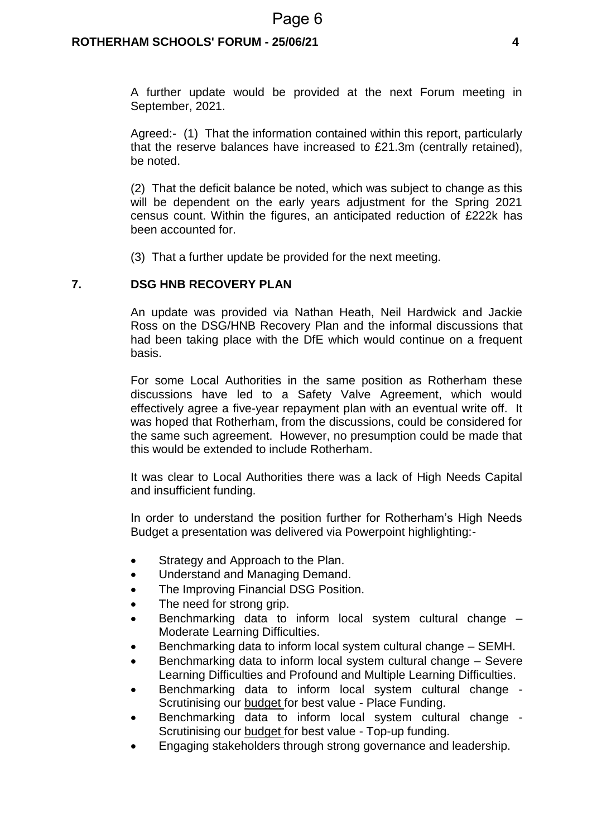### Page 6

#### **ROTHERHAM SCHOOLS' FORUM - 25/06/21 4**

A further update would be provided at the next Forum meeting in September, 2021.

Agreed:- (1) That the information contained within this report, particularly that the reserve balances have increased to £21.3m (centrally retained), be noted.

(2) That the deficit balance be noted, which was subject to change as this will be dependent on the early years adjustment for the Spring 2021 census count. Within the figures, an anticipated reduction of £222k has been accounted for.

(3) That a further update be provided for the next meeting.

#### **7. DSG HNB RECOVERY PLAN**

An update was provided via Nathan Heath, Neil Hardwick and Jackie Ross on the DSG/HNB Recovery Plan and the informal discussions that had been taking place with the DfE which would continue on a frequent basis.

For some Local Authorities in the same position as Rotherham these discussions have led to a Safety Valve Agreement, which would effectively agree a five-year repayment plan with an eventual write off. It was hoped that Rotherham, from the discussions, could be considered for the same such agreement. However, no presumption could be made that this would be extended to include Rotherham.

It was clear to Local Authorities there was a lack of High Needs Capital and insufficient funding.

In order to understand the position further for Rotherham's High Needs Budget a presentation was delivered via Powerpoint highlighting:-

- Strategy and Approach to the Plan.
- Understand and Managing Demand.
- The Improving Financial DSG Position.
- The need for strong grip.
- Benchmarking data to inform local system cultural change Moderate Learning Difficulties.
- Benchmarking data to inform local system cultural change SEMH.
- Benchmarking data to inform local system cultural change Severe Learning Difficulties and Profound and Multiple Learning Difficulties.
- Benchmarking data to inform local system cultural change Scrutinising our budget for best value - Place Funding.
- Benchmarking data to inform local system cultural change Scrutinising our budget for best value - Top-up funding.
- Engaging stakeholders through strong governance and leadership.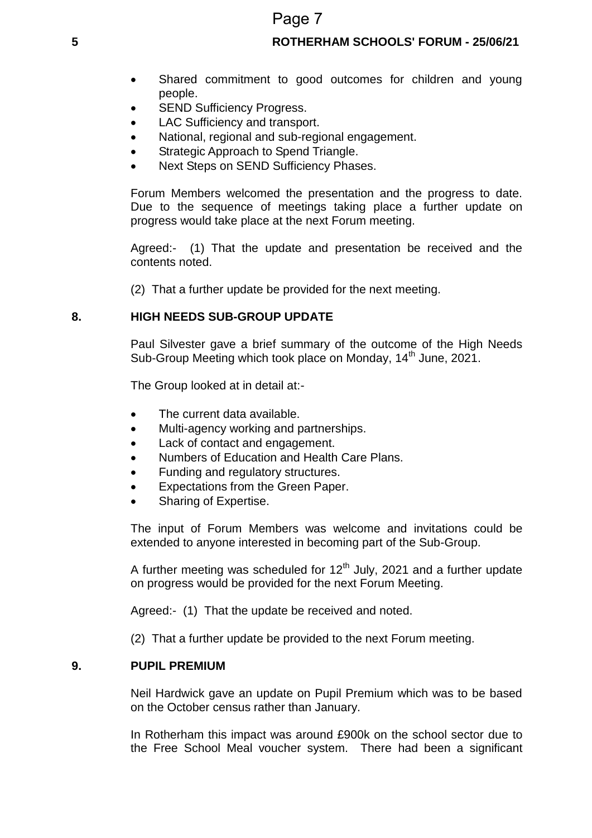## Page 7

#### **5 ROTHERHAM SCHOOLS' FORUM - 25/06/21**

- Shared commitment to good outcomes for children and young people.
- SEND Sufficiency Progress.
- LAC Sufficiency and transport.
- National, regional and sub-regional engagement.
- Strategic Approach to Spend Triangle.
- Next Steps on SEND Sufficiency Phases.

Forum Members welcomed the presentation and the progress to date. Due to the sequence of meetings taking place a further update on progress would take place at the next Forum meeting.

Agreed:- (1) That the update and presentation be received and the contents noted.

(2) That a further update be provided for the next meeting.

#### **8. HIGH NEEDS SUB-GROUP UPDATE**

Paul Silvester gave a brief summary of the outcome of the High Needs Sub-Group Meeting which took place on Monday, 14<sup>th</sup> June, 2021.

The Group looked at in detail at:-

- The current data available.
- Multi-agency working and partnerships.
- Lack of contact and engagement.
- Numbers of Education and Health Care Plans.
- Funding and regulatory structures.
- Expectations from the Green Paper.
- Sharing of Expertise.

The input of Forum Members was welcome and invitations could be extended to anyone interested in becoming part of the Sub-Group.

A further meeting was scheduled for  $12<sup>th</sup>$  July, 2021 and a further update on progress would be provided for the next Forum Meeting.

Agreed:- (1) That the update be received and noted.

(2) That a further update be provided to the next Forum meeting.

#### **9. PUPIL PREMIUM**

Neil Hardwick gave an update on Pupil Premium which was to be based on the October census rather than January.

In Rotherham this impact was around £900k on the school sector due to the Free School Meal voucher system. There had been a significant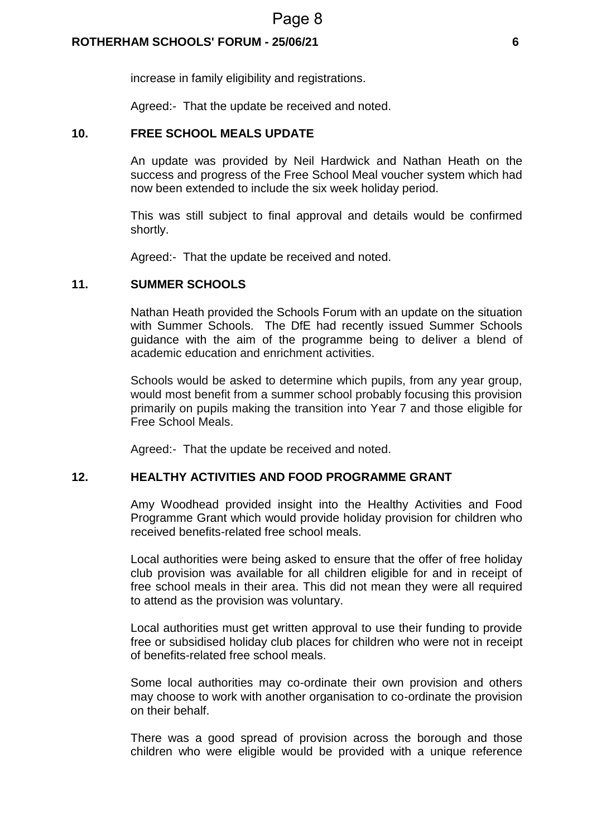#### **ROTHERHAM SCHOOLS' FORUM - 25/06/21 6**

increase in family eligibility and registrations.

Agreed:- That the update be received and noted.

#### **10. FREE SCHOOL MEALS UPDATE**

An update was provided by Neil Hardwick and Nathan Heath on the success and progress of the Free School Meal voucher system which had now been extended to include the six week holiday period.

This was still subject to final approval and details would be confirmed shortly.

Agreed:- That the update be received and noted.

#### **11. SUMMER SCHOOLS**

Nathan Heath provided the Schools Forum with an update on the situation with Summer Schools. The DfE had recently issued Summer Schools guidance with the aim of the programme being to deliver a blend of academic education and enrichment activities.

Schools would be asked to determine which pupils, from any year group, would most benefit from a summer school probably focusing this provision primarily on pupils making the transition into Year 7 and those eligible for Free School Meals.

Agreed:- That the update be received and noted.

#### **12. HEALTHY ACTIVITIES AND FOOD PROGRAMME GRANT**

Amy Woodhead provided insight into the Healthy Activities and Food Programme Grant which would provide holiday provision for children who received benefits-related free school meals.

Local authorities were being asked to ensure that the offer of free holiday club provision was available for all children eligible for and in receipt of free school meals in their area. This did not mean they were all required to attend as the provision was voluntary.

Local authorities must get written approval to use their funding to provide free or subsidised holiday club places for children who were not in receipt of benefits-related free school meals.

Some local authorities may co-ordinate their own provision and others may choose to work with another organisation to co-ordinate the provision on their behalf.

There was a good spread of provision across the borough and those children who were eligible would be provided with a unique reference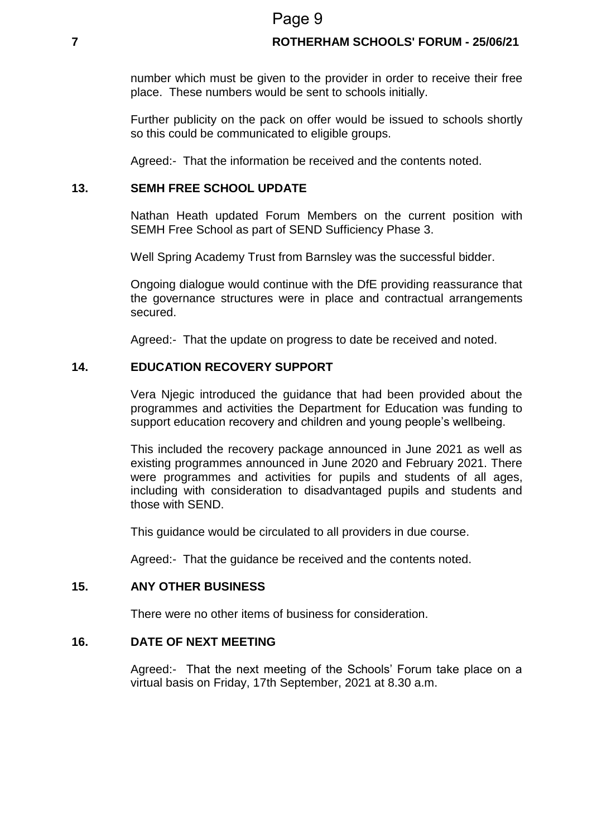### Page 9

#### **7 ROTHERHAM SCHOOLS' FORUM - 25/06/21**

number which must be given to the provider in order to receive their free place. These numbers would be sent to schools initially.

Further publicity on the pack on offer would be issued to schools shortly so this could be communicated to eligible groups.

Agreed:- That the information be received and the contents noted.

#### **13. SEMH FREE SCHOOL UPDATE**

Nathan Heath updated Forum Members on the current position with SEMH Free School as part of SEND Sufficiency Phase 3.

Well Spring Academy Trust from Barnsley was the successful bidder.

Ongoing dialogue would continue with the DfE providing reassurance that the governance structures were in place and contractual arrangements secured.

Agreed:- That the update on progress to date be received and noted.

#### **14. EDUCATION RECOVERY SUPPORT**

Vera Njegic introduced the guidance that had been provided about the programmes and activities the Department for Education was funding to support education recovery and children and young people's wellbeing.

This included the recovery package announced in June 2021 as well as existing programmes announced in June 2020 and February 2021. There were programmes and activities for pupils and students of all ages, including with consideration to disadvantaged pupils and students and those with SEND.

This guidance would be circulated to all providers in due course.

Agreed:- That the guidance be received and the contents noted.

#### **15. ANY OTHER BUSINESS**

There were no other items of business for consideration.

#### **16. DATE OF NEXT MEETING**

Agreed:- That the next meeting of the Schools' Forum take place on a virtual basis on Friday, 17th September, 2021 at 8.30 a.m.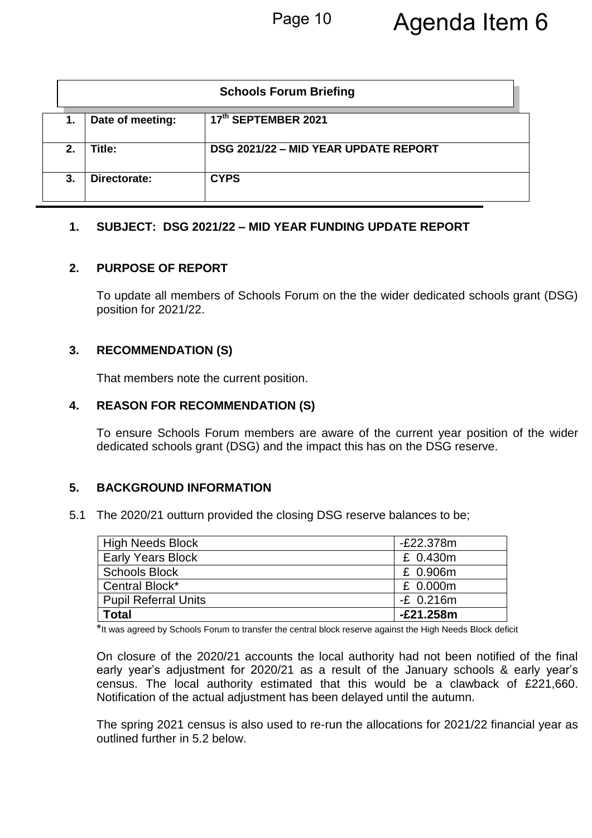|    | <b>Schools Forum Briefing</b> |                                      |  |
|----|-------------------------------|--------------------------------------|--|
| 1. | Date of meeting:              | 17th SEPTEMBER 2021                  |  |
| 2. | Title:                        | DSG 2021/22 - MID YEAR UPDATE REPORT |  |
| 3. | Directorate:                  | <b>CYPS</b>                          |  |

#### **1. SUBJECT: DSG 2021/22 – MID YEAR FUNDING UPDATE REPORT**

#### **2. PURPOSE OF REPORT**

To update all members of Schools Forum on the the wider dedicated schools grant (DSG) position for 2021/22.

### **3. RECOMMENDATION (S)**

That members note the current position.

#### **4. REASON FOR RECOMMENDATION (S)**

To ensure Schools Forum members are aware of the current year position of the wider dedicated schools grant (DSG) and the impact this has on the DSG reserve.

### **5. BACKGROUND INFORMATION**

5.1 The 2020/21 outturn provided the closing DSG reserve balances to be;

| High Needs Block            | $-E22.378m$ |
|-----------------------------|-------------|
| <b>Early Years Block</b>    | £ 0.430m    |
| Schools Block               | £ 0.906m    |
| Central Block*              | £ 0.000m    |
| <b>Pupil Referral Units</b> | $-E$ 0.216m |
| <b>Total</b>                | $-E21.258m$ |

\*It was agreed by Schools Forum to transfer the central block reserve against the High Needs Block deficit

On closure of the 2020/21 accounts the local authority had not been notified of the final early year's adjustment for 2020/21 as a result of the January schools & early year's census. The local authority estimated that this would be a clawback of £221,660. Notification of the actual adjustment has been delayed until the autumn.

The spring 2021 census is also used to re-run the allocations for 2021/22 financial year as outlined further in 5.2 below.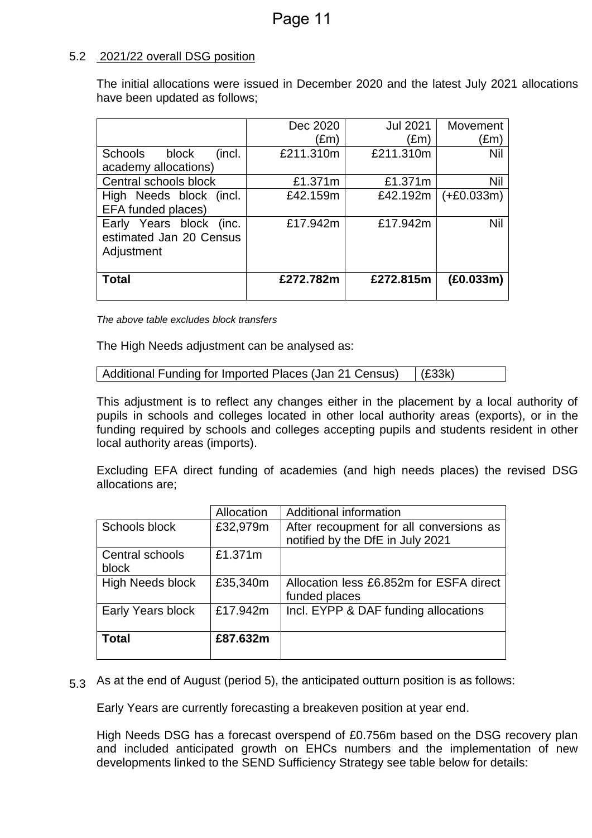#### 5.2 2021/22 overall DSG position

The initial allocations were issued in December 2020 and the latest July 2021 allocations have been updated as follows;

| £1.371m<br>£42.159m | £1.371m<br>£42.192m   | Nil<br>$(+£0.033m)$<br>Nil |
|---------------------|-----------------------|----------------------------|
| £272.782m           | £272.815m             | (E0.033m)                  |
|                     | £211.310m<br>£17.942m | £211.310m<br>£17.942m      |

*The above table excludes block transfers*

The High Needs adjustment can be analysed as:

```
Additional Funding for Imported Places (Jan 21 Census) (£33k)
```
This adjustment is to reflect any changes either in the placement by a local authority of pupils in schools and colleges located in other local authority areas (exports), or in the funding required by schools and colleges accepting pupils and students resident in other local authority areas (imports).

Excluding EFA direct funding of academies (and high needs places) the revised DSG allocations are;

|                          | Allocation | Additional information                                                      |
|--------------------------|------------|-----------------------------------------------------------------------------|
| Schools block            | £32,979m   | After recoupment for all conversions as<br>notified by the DfE in July 2021 |
| Central schools<br>block | £1.371m    |                                                                             |
|                          |            |                                                                             |
| <b>High Needs block</b>  | £35,340m   | Allocation less £6.852m for ESFA direct<br>funded places                    |
| Early Years block        | £17.942m   | Incl. EYPP & DAF funding allocations                                        |
|                          |            |                                                                             |
| <b>Total</b>             | £87.632m   |                                                                             |
|                          |            |                                                                             |

5.3 As at the end of August (period 5), the anticipated outturn position is as follows:

Early Years are currently forecasting a breakeven position at year end.

High Needs DSG has a forecast overspend of £0.756m based on the DSG recovery plan and included anticipated growth on EHCs numbers and the implementation of new developments linked to the SEND Sufficiency Strategy see table below for details: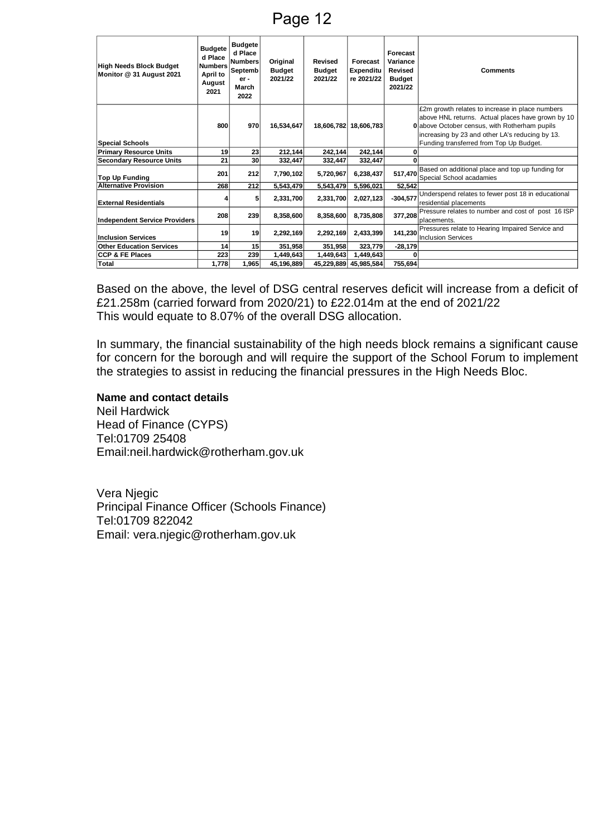Page 12

| <b>High Needs Block Budget</b><br>Monitor @ 31 August 2021 | <b>Budgete</b><br>d Place<br><b>Numbers</b><br>April to<br>August<br>2021 | <b>Budgete</b><br>d Place<br><b>Numbers</b><br>Septemb<br>$er -$<br>March<br>2022 | Original<br><b>Budget</b><br>2021/22 | Revised<br><b>Budget</b><br>2021/22 | Forecast<br>Expenditu<br>re 2021/22 | Forecast<br>Variance<br><b>Revised</b><br><b>Budget</b><br>2021/22 | <b>Comments</b>                                                                                                                                                                                                                                            |
|------------------------------------------------------------|---------------------------------------------------------------------------|-----------------------------------------------------------------------------------|--------------------------------------|-------------------------------------|-------------------------------------|--------------------------------------------------------------------|------------------------------------------------------------------------------------------------------------------------------------------------------------------------------------------------------------------------------------------------------------|
| <b>Special Schools</b>                                     | 800                                                                       | 970                                                                               | 16.534.647                           |                                     | 18.606.782 18.606.783               |                                                                    | £2m growth relates to increase in place numbers<br>above HNL returns. Actual places have grown by 10<br><b>0</b> above October census, with Rotherham pupils<br>increasing by 23 and other LA's reducing by 13.<br>Funding transferred from Top Up Budget. |
| <b>Primary Resource Units</b>                              | 19                                                                        | 23                                                                                | 212,144                              | 242,144                             | 242,144                             |                                                                    |                                                                                                                                                                                                                                                            |
| <b>Secondary Resource Units</b>                            | 21                                                                        | 30                                                                                | 332,447                              | 332,447                             | 332,447                             | U                                                                  |                                                                                                                                                                                                                                                            |
| <b>Top Up Funding</b>                                      | 201                                                                       | 212                                                                               | 7,790,102                            | 5,720,967                           | 6,238,437                           | 517,470                                                            | Based on additional place and top up funding for<br>Special School acadamies                                                                                                                                                                               |
| <b>Alternative Provision</b>                               | 268                                                                       | 212                                                                               | 5,543,479                            | 5,543,479                           | 5,596,021                           | 52,542                                                             |                                                                                                                                                                                                                                                            |
| <b>External Residentials</b>                               |                                                                           | 5                                                                                 | 2,331,700                            | 2,331,700                           | 2,027,123                           | $-304,577$                                                         | Underspend relates to fewer post 18 in educational<br>residential placements                                                                                                                                                                               |
| <b>Independent Service Providers</b>                       | 208                                                                       | 239                                                                               | 8.358.600                            | 8.358.600                           | 8.735.808                           | 377,208                                                            | Pressure relates to number and cost of post 16 ISP<br>Iplacements.                                                                                                                                                                                         |
| <b>Inclusion Services</b>                                  | 19                                                                        | 19                                                                                | 2,292,169                            | 2,292,169                           | 2,433,399                           | 141,230                                                            | Pressures relate to Hearing Impaired Service and<br>Inclusion Services                                                                                                                                                                                     |
| <b>Other Education Services</b>                            | 14                                                                        | 15                                                                                | 351,958                              | 351,958                             | 323,779                             | $-28,179$                                                          |                                                                                                                                                                                                                                                            |
| <b>CCP &amp; FE Places</b>                                 | 223                                                                       | 239                                                                               | 1,449,643                            | 1,449,643                           | 1,449,643                           | 0                                                                  |                                                                                                                                                                                                                                                            |
| <b>Total</b>                                               | 1,778                                                                     | 1,965                                                                             | 45,196,889                           |                                     | 45,229,889 45,985,584               | 755,694                                                            |                                                                                                                                                                                                                                                            |

Based on the above, the level of DSG central reserves deficit will increase from a deficit of £21.258m (carried forward from 2020/21) to £22.014m at the end of 2021/22 This would equate to 8.07% of the overall DSG allocation.

In summary, the financial sustainability of the high needs block remains a significant cause for concern for the borough and will require the support of the School Forum to implement the strategies to assist in reducing the financial pressures in the High Needs Bloc.

#### **Name and contact details**

Neil Hardwick Head of Finance (CYPS) Tel:01709 25408 Email:neil.hardwick@rotherham.gov.uk

Vera Njegic Principal Finance Officer (Schools Finance) <Tel:01709> 822042 Email: vera.njegic@rotherham.gov.uk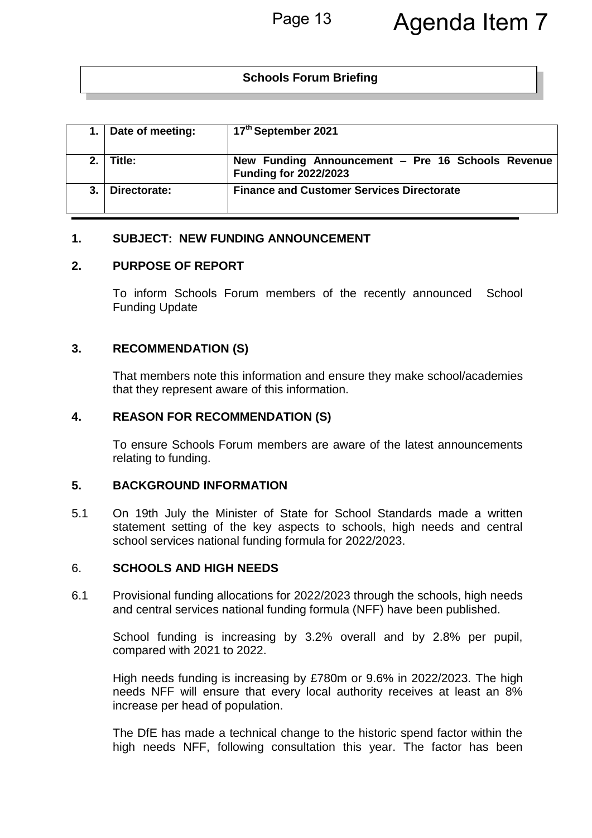### **Schools Forum Briefing**

|    | Date of meeting: | 17th September 2021                                                               |
|----|------------------|-----------------------------------------------------------------------------------|
|    | Title:           | New Funding Announcement - Pre 16 Schools Revenue<br><b>Funding for 2022/2023</b> |
| 3. | Directorate:     | <b>Finance and Customer Services Directorate</b>                                  |

#### **1. SUBJECT: NEW FUNDING ANNOUNCEMENT**

#### **2. PURPOSE OF REPORT**

To inform Schools Forum members of the recently announced School Funding Update

#### **3. RECOMMENDATION (S)**

That members note this information and ensure they make school/academies that they represent aware of this information.

#### **4. REASON FOR RECOMMENDATION (S)**

To ensure Schools Forum members are aware of the latest announcements relating to funding.

#### **5. BACKGROUND INFORMATION**

5.1 On 19th July the Minister of State for School Standards made a written statement setting of the key aspects to schools, high needs and central school services national funding formula for 2022/2023.

#### 6. **SCHOOLS AND HIGH NEEDS**

6.1 Provisional funding allocations for 2022/2023 through the schools, high needs and central services national funding formula (NFF) have been published.

School funding is increasing by 3.2% overall and by 2.8% per pupil, compared with 2021 to 2022.

High needs funding is increasing by £780m or 9.6% in 2022/2023. The high needs NFF will ensure that every local authority receives at least an 8% increase per head of population.

The DfE has made a technical change to the historic spend factor within the high needs NFF, following consultation this year. The factor has been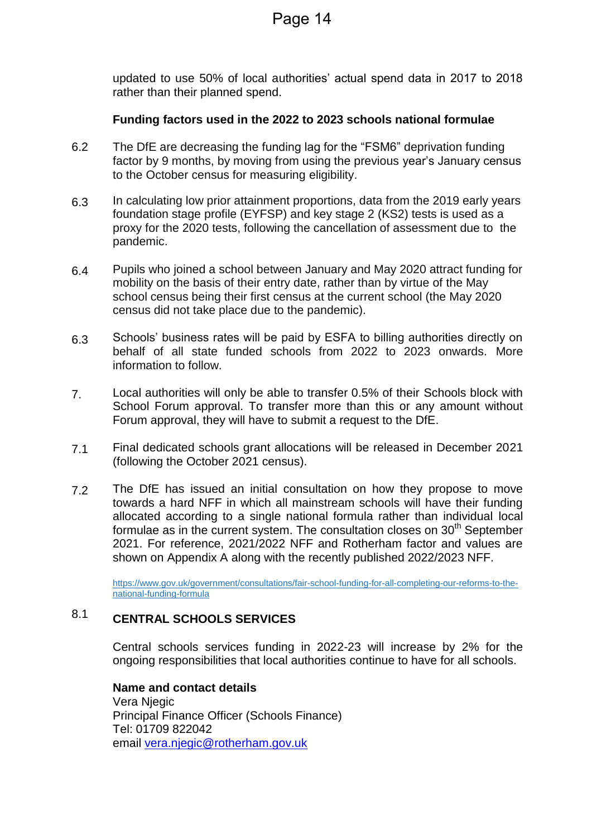updated to use 50% of local authorities' actual spend data in 2017 to 2018 rather than their planned spend.

#### **Funding factors used in the 2022 to 2023 schools national formulae**

- 6.2 The DfE are decreasing the funding lag for the "FSM6" deprivation funding factor by 9 months, by moving from using the previous year's January census to the October census for measuring eligibility.
- 6.3 In calculating low prior attainment proportions, data from the 2019 early years foundation stage profile (EYFSP) and key stage 2 (KS2) tests is used as a proxy for the 2020 tests, following the cancellation of assessment due to the pandemic.
- 6.4 Pupils who joined a school between January and May 2020 attract funding for mobility on the basis of their entry date, rather than by virtue of the May school census being their first census at the current school (the May 2020 census did not take place due to the pandemic).
- 6.3 Schools' business rates will be paid by ESFA to billing authorities directly on behalf of all state funded schools from 2022 to 2023 onwards. More information to follow.
- 7. Local authorities will only be able to transfer 0.5% of their Schools block with School Forum approval. To transfer more than this or any amount without Forum approval, they will have to submit a request to the DfE.
- 7.1 Final dedicated schools grant allocations will be released in December 2021 (following the October 2021 census).
- 7.2 The DfE has issued an initial consultation on how they propose to move towards a hard NFF in which all mainstream schools will have their funding allocated according to a single national formula rather than individual local formulae as in the current system. The consultation closes on  $30<sup>th</sup>$  September 2021. For reference, 2021/2022 NFF and Rotherham factor and values are shown on Appendix A along with the recently published 2022/2023 NFF.

[https://www.gov.uk/government/consultations/fair-school-funding-for-all-completing-our-reforms-to-the](https://eur02.safelinks.protection.outlook.com/?url=https%3A%2F%2Fwww.gov.uk%2Fgovernment%2Fconsultations%2Ffair-school-funding-for-all-completing-our-reforms-to-the-national-funding-formula&data=04%7C01%7Cvera.njegic%40rotherham.gov.uk%7C511d2ac949ce4c34b4bb08d94aa795e0%7C46fbe6fd78ae47699c1dbcea97378af6%7C0%7C0%7C637622905901911142%7CUnknown%7CTWFpbGZsb3d8eyJWIjoiMC4wLjAwMDAiLCJQIjoiV2luMzIiLCJBTiI6Ik1haWwiLCJXVCI6Mn0%3D%7C1000&sdata=Xl4rs7ptaB40%2B1%2F1JtKKPxWwhr9a3cXySfa36ewzR5c%3D&reserved=0)[national-funding-formula](https://eur02.safelinks.protection.outlook.com/?url=https%3A%2F%2Fwww.gov.uk%2Fgovernment%2Fconsultations%2Ffair-school-funding-for-all-completing-our-reforms-to-the-national-funding-formula&data=04%7C01%7Cvera.njegic%40rotherham.gov.uk%7C511d2ac949ce4c34b4bb08d94aa795e0%7C46fbe6fd78ae47699c1dbcea97378af6%7C0%7C0%7C637622905901911142%7CUnknown%7CTWFpbGZsb3d8eyJWIjoiMC4wLjAwMDAiLCJQIjoiV2luMzIiLCJBTiI6Ik1haWwiLCJXVCI6Mn0%3D%7C1000&sdata=Xl4rs7ptaB40%2B1%2F1JtKKPxWwhr9a3cXySfa36ewzR5c%3D&reserved=0)

#### 8.1 **CENTRAL SCHOOLS SERVICES**

Central schools services funding in 2022-23 will increase by 2% for the ongoing responsibilities that local authorities continue to have for all schools.

**Name and contact details** Vera Njegic Principal Finance Officer (Schools Finance) Tel: 01709 822042 email [vera.njegic@rotherham.gov.uk](mailto:vera.njegic@rotherham.gov.uk)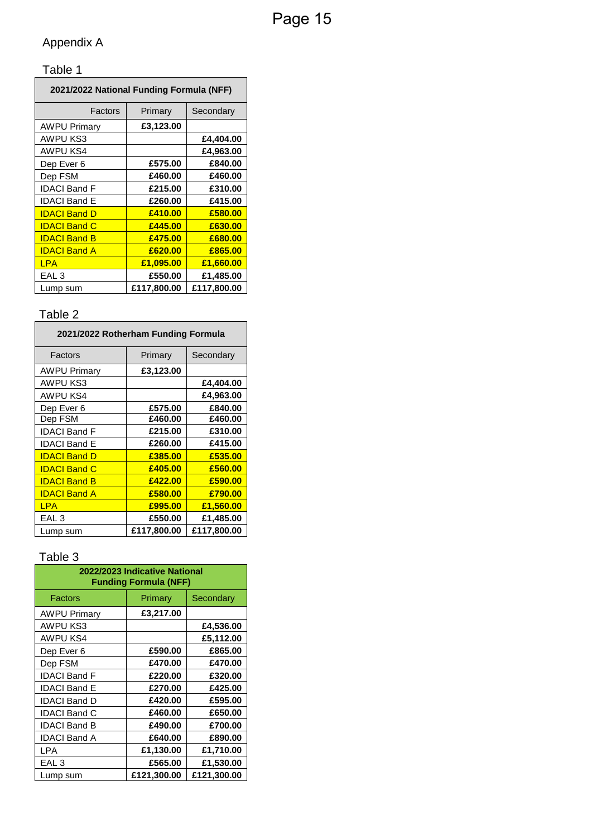# Appendix A

## Table 1

| 2021/2022 National Funding Formula (NFF) |             |             |  |  |
|------------------------------------------|-------------|-------------|--|--|
| Factors                                  | Primary     | Secondary   |  |  |
| <b>AWPU Primary</b>                      | £3,123.00   |             |  |  |
| AWPU KS3                                 |             | £4,404.00   |  |  |
| AWPU KS4                                 |             | £4,963.00   |  |  |
| Dep Ever 6                               | £575.00     | £840.00     |  |  |
| Dep FSM                                  | £460.00     | £460.00     |  |  |
| <b>IDACI Band F</b>                      | £215.00     | £310.00     |  |  |
| <b>IDACI Band E</b>                      | £260.00     | £415.00     |  |  |
| <b>IDACI Band D</b>                      | £410.00     | £580.00     |  |  |
| <b>IDACI Band C</b>                      | £445.00     | £630.00     |  |  |
| <b>IDACI Band B</b>                      | £475.00     | £680.00     |  |  |
| <b>IDACI Band A</b>                      | £620.00     | £865.00     |  |  |
| <b>LPA</b>                               | £1,095.00   | £1,660.00   |  |  |
| EAL <sub>3</sub>                         | £550.00     | £1,485.00   |  |  |
| Lump sum                                 | £117.800.00 | £117.800.00 |  |  |

## Table 2

| 2021/2022 Rotherham Funding Formula |             |             |  |  |
|-------------------------------------|-------------|-------------|--|--|
| Factors                             | Primary     | Secondary   |  |  |
| <b>AWPU Primary</b>                 | £3,123.00   |             |  |  |
| AWPU KS3                            |             | £4,404.00   |  |  |
| AWPU KS4                            |             | £4,963.00   |  |  |
| Dep Ever 6                          | £575.00     | £840.00     |  |  |
| Dep FSM                             | £460.00     | £460.00     |  |  |
| <b>IDACI Band F</b>                 | £215.00     | £310.00     |  |  |
| <b>IDACI Band E</b>                 | £260.00     | £415.00     |  |  |
| <b>IDACI Band D</b>                 | £385.00     | £535.00     |  |  |
| <b>IDACI Band C</b>                 | £405.00     | £560.00     |  |  |
| <b>IDACI Band B</b>                 | £422.00     | £590.00     |  |  |
| <b>IDACI Band A</b>                 | £580.00     | £790.00     |  |  |
| <b>LPA</b>                          | £995.00     | £1,560.00   |  |  |
| EAL <sub>3</sub>                    | £550.00     | £1,485.00   |  |  |
| Lump sum                            | £117,800.00 | £117,800.00 |  |  |

# Table 3

| 2022/2023 Indicative National<br><b>Funding Formula (NFF)</b> |             |             |  |  |
|---------------------------------------------------------------|-------------|-------------|--|--|
| Factors                                                       | Primary     | Secondary   |  |  |
| <b>AWPU Primary</b>                                           | £3,217.00   |             |  |  |
| AWPU KS3                                                      |             | £4,536.00   |  |  |
| AWPU KS4                                                      |             | £5,112.00   |  |  |
| Dep Ever 6                                                    | £590.00     | £865.00     |  |  |
| Dep FSM                                                       | £470.00     | £470.00     |  |  |
| <b>IDACI Band F</b>                                           | £220.00     | £320.00     |  |  |
| <b>IDACI Band E</b>                                           | £270.00     | £425.00     |  |  |
| <b>IDACI Band D</b>                                           | £420.00     | £595.00     |  |  |
| <b>IDACI Band C</b>                                           | £460.00     | £650.00     |  |  |
| <b>IDACI Band B</b>                                           | £490.00     | £700.00     |  |  |
| <b>IDACI Band A</b>                                           | £640.00     | £890.00     |  |  |
| LPA                                                           | £1,130.00   | £1,710.00   |  |  |
| EAL <sub>3</sub>                                              | £565.00     | £1,530.00   |  |  |
| Lump sum                                                      | £121,300.00 | £121,300.00 |  |  |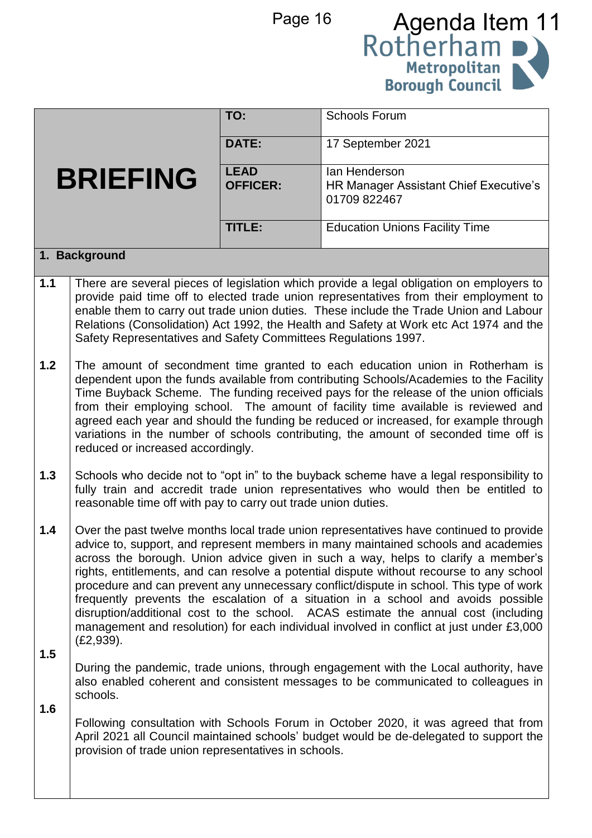

|                 |                                                                                                                                                                                                                                                                                                                                                                                                                                                                                                                                                                             | TO:                            | <b>Schools Forum</b>                                                                                                                                                                                                                                                                                                                                                                                                                                                                                                                                                                                                                                                                                                             |  |
|-----------------|-----------------------------------------------------------------------------------------------------------------------------------------------------------------------------------------------------------------------------------------------------------------------------------------------------------------------------------------------------------------------------------------------------------------------------------------------------------------------------------------------------------------------------------------------------------------------------|--------------------------------|----------------------------------------------------------------------------------------------------------------------------------------------------------------------------------------------------------------------------------------------------------------------------------------------------------------------------------------------------------------------------------------------------------------------------------------------------------------------------------------------------------------------------------------------------------------------------------------------------------------------------------------------------------------------------------------------------------------------------------|--|
|                 |                                                                                                                                                                                                                                                                                                                                                                                                                                                                                                                                                                             | <b>DATE:</b>                   | 17 September 2021                                                                                                                                                                                                                                                                                                                                                                                                                                                                                                                                                                                                                                                                                                                |  |
| <b>BRIEFING</b> |                                                                                                                                                                                                                                                                                                                                                                                                                                                                                                                                                                             | <b>LEAD</b><br><b>OFFICER:</b> | lan Henderson<br>HR Manager Assistant Chief Executive's<br>01709 822467                                                                                                                                                                                                                                                                                                                                                                                                                                                                                                                                                                                                                                                          |  |
|                 |                                                                                                                                                                                                                                                                                                                                                                                                                                                                                                                                                                             | TITLE:                         | <b>Education Unions Facility Time</b>                                                                                                                                                                                                                                                                                                                                                                                                                                                                                                                                                                                                                                                                                            |  |
|                 | 1. Background                                                                                                                                                                                                                                                                                                                                                                                                                                                                                                                                                               |                                |                                                                                                                                                                                                                                                                                                                                                                                                                                                                                                                                                                                                                                                                                                                                  |  |
| $1.1$           | Safety Representatives and Safety Committees Regulations 1997.                                                                                                                                                                                                                                                                                                                                                                                                                                                                                                              |                                | There are several pieces of legislation which provide a legal obligation on employers to<br>provide paid time off to elected trade union representatives from their employment to<br>enable them to carry out trade union duties. These include the Trade Union and Labour<br>Relations (Consolidation) Act 1992, the Health and Safety at Work etc Act 1974 and the                                                                                                                                                                                                                                                                                                                                                             |  |
| 1.2             | The amount of secondment time granted to each education union in Rotherham is<br>dependent upon the funds available from contributing Schools/Academies to the Facility<br>Time Buyback Scheme. The funding received pays for the release of the union officials<br>from their employing school. The amount of facility time available is reviewed and<br>agreed each year and should the funding be reduced or increased, for example through<br>variations in the number of schools contributing, the amount of seconded time off is<br>reduced or increased accordingly. |                                |                                                                                                                                                                                                                                                                                                                                                                                                                                                                                                                                                                                                                                                                                                                                  |  |
| 1.3             | Schools who decide not to "opt in" to the buyback scheme have a legal responsibility to<br>fully train and accredit trade union representatives who would then be entitled to<br>reasonable time off with pay to carry out trade union duties.                                                                                                                                                                                                                                                                                                                              |                                |                                                                                                                                                                                                                                                                                                                                                                                                                                                                                                                                                                                                                                                                                                                                  |  |
| 1.4             | (E2, 939).                                                                                                                                                                                                                                                                                                                                                                                                                                                                                                                                                                  |                                | Over the past twelve months local trade union representatives have continued to provide<br>advice to, support, and represent members in many maintained schools and academies<br>across the borough. Union advice given in such a way, helps to clarify a member's<br>rights, entitlements, and can resolve a potential dispute without recourse to any school<br>procedure and can prevent any unnecessary conflict/dispute in school. This type of work<br>frequently prevents the escalation of a situation in a school and avoids possible<br>disruption/additional cost to the school. ACAS estimate the annual cost (including<br>management and resolution) for each individual involved in conflict at just under £3,000 |  |
| 1.5<br>1.6      | schools.                                                                                                                                                                                                                                                                                                                                                                                                                                                                                                                                                                    |                                | During the pandemic, trade unions, through engagement with the Local authority, have<br>also enabled coherent and consistent messages to be communicated to colleagues in                                                                                                                                                                                                                                                                                                                                                                                                                                                                                                                                                        |  |
|                 | provision of trade union representatives in schools.                                                                                                                                                                                                                                                                                                                                                                                                                                                                                                                        |                                | Following consultation with Schools Forum in October 2020, it was agreed that from<br>April 2021 all Council maintained schools' budget would be de-delegated to support the                                                                                                                                                                                                                                                                                                                                                                                                                                                                                                                                                     |  |
|                 |                                                                                                                                                                                                                                                                                                                                                                                                                                                                                                                                                                             |                                |                                                                                                                                                                                                                                                                                                                                                                                                                                                                                                                                                                                                                                                                                                                                  |  |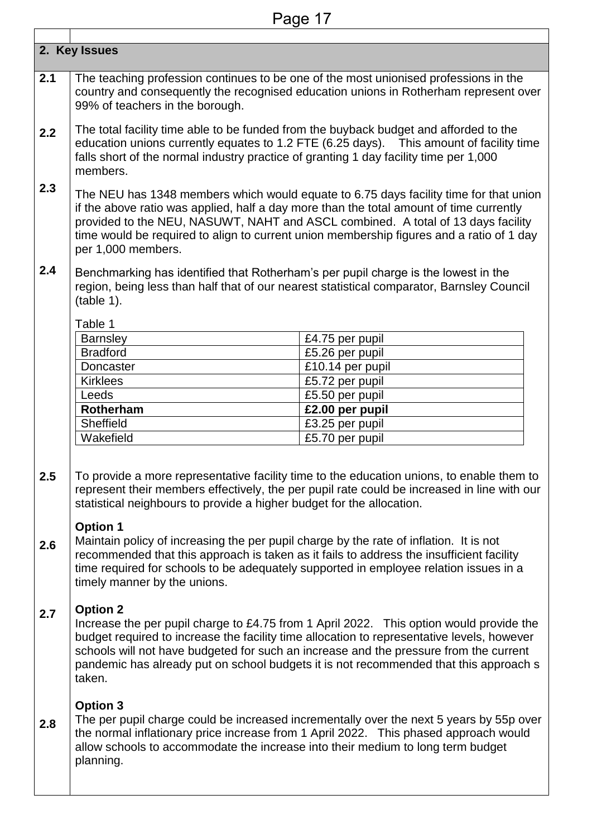|     | 2. Key Issues                                                                                                                                                                                                                                                                                                                                                                          |                                                                                                                                                                                                                                                                                                                                                                         |  |  |
|-----|----------------------------------------------------------------------------------------------------------------------------------------------------------------------------------------------------------------------------------------------------------------------------------------------------------------------------------------------------------------------------------------|-------------------------------------------------------------------------------------------------------------------------------------------------------------------------------------------------------------------------------------------------------------------------------------------------------------------------------------------------------------------------|--|--|
| 2.1 | 99% of teachers in the borough.                                                                                                                                                                                                                                                                                                                                                        | The teaching profession continues to be one of the most unionised professions in the<br>country and consequently the recognised education unions in Rotherham represent over                                                                                                                                                                                            |  |  |
| 2.2 | The total facility time able to be funded from the buyback budget and afforded to the<br>education unions currently equates to 1.2 FTE (6.25 days). This amount of facility time<br>falls short of the normal industry practice of granting 1 day facility time per 1,000<br>members.                                                                                                  |                                                                                                                                                                                                                                                                                                                                                                         |  |  |
| 2.3 | The NEU has 1348 members which would equate to 6.75 days facility time for that union<br>if the above ratio was applied, half a day more than the total amount of time currently<br>provided to the NEU, NASUWT, NAHT and ASCL combined. A total of 13 days facility<br>time would be required to align to current union membership figures and a ratio of 1 day<br>per 1,000 members. |                                                                                                                                                                                                                                                                                                                                                                         |  |  |
| 2.4 | Benchmarking has identified that Rotherham's per pupil charge is the lowest in the<br>(table 1).                                                                                                                                                                                                                                                                                       | region, being less than half that of our nearest statistical comparator, Barnsley Council                                                                                                                                                                                                                                                                               |  |  |
|     | Table 1                                                                                                                                                                                                                                                                                                                                                                                |                                                                                                                                                                                                                                                                                                                                                                         |  |  |
|     | <b>Barnsley</b>                                                                                                                                                                                                                                                                                                                                                                        | £4.75 per pupil                                                                                                                                                                                                                                                                                                                                                         |  |  |
|     | <b>Bradford</b>                                                                                                                                                                                                                                                                                                                                                                        | £5.26 per pupil                                                                                                                                                                                                                                                                                                                                                         |  |  |
|     | Doncaster                                                                                                                                                                                                                                                                                                                                                                              | £10.14 per pupil                                                                                                                                                                                                                                                                                                                                                        |  |  |
|     | <b>Kirklees</b>                                                                                                                                                                                                                                                                                                                                                                        | $\overline{£}$ 5.72 per pupil                                                                                                                                                                                                                                                                                                                                           |  |  |
|     | Leeds                                                                                                                                                                                                                                                                                                                                                                                  | £5.50 per pupil                                                                                                                                                                                                                                                                                                                                                         |  |  |
|     | Rotherham                                                                                                                                                                                                                                                                                                                                                                              | £2.00 per pupil                                                                                                                                                                                                                                                                                                                                                         |  |  |
|     | Sheffield                                                                                                                                                                                                                                                                                                                                                                              | £3.25 per pupil                                                                                                                                                                                                                                                                                                                                                         |  |  |
|     | Wakefield                                                                                                                                                                                                                                                                                                                                                                              | £5.70 per pupil                                                                                                                                                                                                                                                                                                                                                         |  |  |
| 2.5 | statistical neighbours to provide a higher budget for the allocation.                                                                                                                                                                                                                                                                                                                  | To provide a more representative facility time to the education unions, to enable them to<br>represent their members effectively, the per pupil rate could be increased in line with our                                                                                                                                                                                |  |  |
| 2.6 | <b>Option 1</b><br>Maintain policy of increasing the per pupil charge by the rate of inflation. It is not<br>timely manner by the unions.                                                                                                                                                                                                                                              | recommended that this approach is taken as it fails to address the insufficient facility<br>time required for schools to be adequately supported in employee relation issues in a                                                                                                                                                                                       |  |  |
| 2.7 | <b>Option 2</b><br>taken.                                                                                                                                                                                                                                                                                                                                                              | Increase the per pupil charge to £4.75 from 1 April 2022. This option would provide the<br>budget required to increase the facility time allocation to representative levels, however<br>schools will not have budgeted for such an increase and the pressure from the current<br>pandemic has already put on school budgets it is not recommended that this approach s |  |  |
| 2.8 | <b>Option 3</b><br>allow schools to accommodate the increase into their medium to long term budget<br>planning.                                                                                                                                                                                                                                                                        | The per pupil charge could be increased incrementally over the next 5 years by 55p over<br>the normal inflationary price increase from 1 April 2022. This phased approach would                                                                                                                                                                                         |  |  |